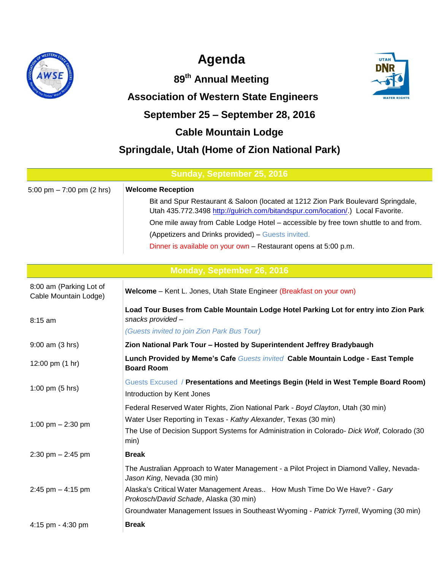

# **Agenda**

**89th Annual Meeting**

## **Association of Western State Engineers**



# **September 25 – September 28, 2016**

### **Cable Mountain Lodge**

### **Springdale, Utah (Home of Zion National Park)**

| Sunday, September 25, 2016                       |                                                                                                                                                                                                                                                                                                                                                                                                                  |  |
|--------------------------------------------------|------------------------------------------------------------------------------------------------------------------------------------------------------------------------------------------------------------------------------------------------------------------------------------------------------------------------------------------------------------------------------------------------------------------|--|
| 5:00 pm $-7:00$ pm (2 hrs)                       | <b>Welcome Reception</b><br>Bit and Spur Restaurant & Saloon (located at 1212 Zion Park Boulevard Springdale,<br>Utah 435.772.3498 http://gulrich.com/bitandspur.com/location/.) Local Favorite.<br>One mile away from Cable Lodge Hotel - accessible by free town shuttle to and from.<br>(Appetizers and Drinks provided) - Guests invited.<br>Dinner is available on your own - Restaurant opens at 5:00 p.m. |  |
|                                                  | Monday, September 26, 2016                                                                                                                                                                                                                                                                                                                                                                                       |  |
| 8:00 am (Parking Lot of<br>Cable Mountain Lodge) | Welcome - Kent L. Jones, Utah State Engineer (Breakfast on your own)                                                                                                                                                                                                                                                                                                                                             |  |
| 8:15 am                                          | Load Tour Buses from Cable Mountain Lodge Hotel Parking Lot for entry into Zion Park<br>snacks provided-<br>(Guests invited to join Zion Park Bus Tour)                                                                                                                                                                                                                                                          |  |
| $9:00$ am $(3$ hrs)                              | Zion National Park Tour - Hosted by Superintendent Jeffrey Bradybaugh                                                                                                                                                                                                                                                                                                                                            |  |
| 12:00 pm (1 hr)                                  | Lunch Provided by Meme's Cafe Guests invited Cable Mountain Lodge - East Temple<br><b>Board Room</b>                                                                                                                                                                                                                                                                                                             |  |
| 1:00 pm $(5 hrs)$                                | Guests Excused / Presentations and Meetings Begin (Held in West Temple Board Room)<br>Introduction by Kent Jones                                                                                                                                                                                                                                                                                                 |  |
| 1:00 pm $- 2:30$ pm                              | Federal Reserved Water Rights, Zion National Park - Boyd Clayton, Utah (30 min)<br>Water User Reporting in Texas - Kathy Alexander, Texas (30 min)<br>The Use of Decision Support Systems for Administration in Colorado- Dick Wolf, Colorado (30<br>min)                                                                                                                                                        |  |
| 2:30 pm - 2:45 pm                                | <b>Break</b>                                                                                                                                                                                                                                                                                                                                                                                                     |  |
| 2:45 pm $-$ 4:15 pm                              | The Australian Approach to Water Management - a Pilot Project in Diamond Valley, Nevada-<br>Jason King, Nevada (30 min)<br>Alaska's Critical Water Management Areas How Mush Time Do We Have? - Gary<br>Prokosch/David Schade, Alaska (30 min)<br>Groundwater Management Issues in Southeast Wyoming - Patrick Tyrrell, Wyoming (30 min)                                                                         |  |
| 4:15 pm - 4:30 pm                                | <b>Break</b>                                                                                                                                                                                                                                                                                                                                                                                                     |  |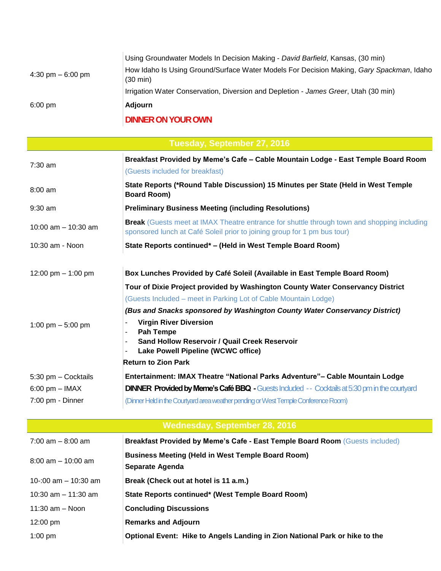|                                     | <b>DILILIED OLI VOLID OIARI</b>                                                                                |
|-------------------------------------|----------------------------------------------------------------------------------------------------------------|
| $6:00 \text{ pm}$                   | Adjourn                                                                                                        |
|                                     | Irrigation Water Conservation, Diversion and Depletion - James Greer, Utah (30 min)                            |
| $4:30 \text{ pm} - 6:00 \text{ pm}$ | How Idaho Is Using Ground/Surface Water Models For Decision Making, Gary Spackman, Idaho<br>$(30 \text{ min})$ |
|                                     | Using Groundwater Models In Decision Making - David Barfield, Kansas, (30 min)                                 |

### **DINNER ON YOUR OWN**

| Tuesday, September 27, 2016          |                                                                                                                                                                                |  |
|--------------------------------------|--------------------------------------------------------------------------------------------------------------------------------------------------------------------------------|--|
| 7:30 am                              | Breakfast Provided by Meme's Cafe - Cable Mountain Lodge - East Temple Board Room                                                                                              |  |
|                                      | (Guests included for breakfast)                                                                                                                                                |  |
| $8:00$ am                            | State Reports (*Round Table Discussion) 15 Minutes per State (Held in West Temple<br><b>Board Room)</b>                                                                        |  |
| $9:30$ am                            | <b>Preliminary Business Meeting (including Resolutions)</b>                                                                                                                    |  |
| 10:00 am $-$ 10:30 am                | <b>Break</b> (Guests meet at IMAX Theatre entrance for shuttle through town and shopping including<br>sponsored lunch at Café Soleil prior to joining group for 1 pm bus tour) |  |
| 10:30 am - Noon                      | State Reports continued* - (Held in West Temple Board Room)                                                                                                                    |  |
| 12:00 pm $-$ 1:00 pm                 | Box Lunches Provided by Café Soleil (Available in East Temple Board Room)                                                                                                      |  |
|                                      | Tour of Dixie Project provided by Washington County Water Conservancy District                                                                                                 |  |
|                                      | (Guests Included – meet in Parking Lot of Cable Mountain Lodge)                                                                                                                |  |
|                                      | (Bus and Snacks sponsored by Washington County Water Conservancy District)                                                                                                     |  |
| 1:00 pm $-5:00$ pm                   | <b>Virgin River Diversion</b><br>÷,                                                                                                                                            |  |
|                                      | <b>Pah Tempe</b><br>۰<br>Sand Hollow Reservoir / Quail Creek Reservoir<br>$\overline{\phantom{a}}$                                                                             |  |
|                                      | Lake Powell Pipeline (WCWC office)<br>-                                                                                                                                        |  |
|                                      | <b>Return to Zion Park</b>                                                                                                                                                     |  |
| 5:30 pm - Cocktails                  | Entertainment: IMAX Theatre "National Parks Adventure" - Cable Mountain Lodge                                                                                                  |  |
| $6:00$ pm $-$ IMAX                   | <b>DINNER Provided by Meme's Café BBQ - Guests Included -- Cocktails at 5:30 pm in the courtyard</b>                                                                           |  |
| 7:00 pm - Dinner                     | (Dinner Held in the Courtyard area weather pending or West Temple Conference Room)                                                                                             |  |
|                                      |                                                                                                                                                                                |  |
| <b>Wednesday, September 28, 2016</b> |                                                                                                                                                                                |  |
| $7:00$ am $-8:00$ am                 | Breakfast Provided by Meme's Cafe - East Temple Board Room (Guests included)                                                                                                   |  |
| $8:00$ am $-10:00$ am                | <b>Business Meeting (Held in West Temple Board Room)</b>                                                                                                                       |  |
|                                      | Separate Agenda                                                                                                                                                                |  |
| 10-:00 am $-$ 10:30 am               | Break (Check out at hotel is 11 a.m.)                                                                                                                                          |  |
| 10:30 am $-$ 11:30 am                | State Reports continued* (West Temple Board Room)                                                                                                                              |  |
| $11:30$ am $-$ Noon                  | <b>Concluding Discussions</b>                                                                                                                                                  |  |
| 12:00 pm                             | <b>Remarks and Adjourn</b>                                                                                                                                                     |  |
| $1:00$ pm                            | Optional Event: Hike to Angels Landing in Zion National Park or hike to the                                                                                                    |  |